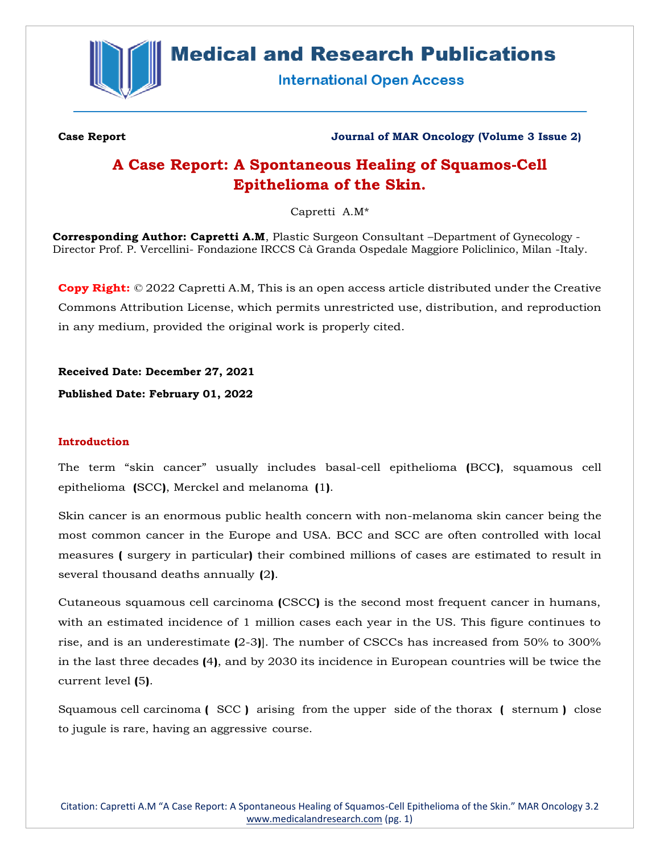

# **Medical and Research Publications**

**International Open Access** 

**Case Report Journal of MAR Oncology (Volume 3 Issue 2)**

## **A Case Report: A Spontaneous Healing of Squamos-Cell Epithelioma of the Skin.**

Capretti A.M\*

**Corresponding Author: Capretti A.M**, Plastic Surgeon Consultant –Department of Gynecology - Director Prof. P. Vercellini- Fondazione IRCCS Cà Granda Ospedale Maggiore Policlinico, Milan -Italy.

**Copy Right:** © 2022 Capretti A.M, This is an open access article distributed under the Creative Commons Attribution License, which permits unrestricted use, distribution, and reproduction in any medium, provided the original work is properly cited.

**Received Date: December 27, 2021**

**Published Date: February 01, 2022**

## **Introduction**

The term "skin cancer" usually includes basal-cell epithelioma **(**BCC**)**, squamous cell epithelioma **(**SCC**)**, Merckel and melanoma **(**1**)**.

Skin cancer is an enormous public health concern with non-melanoma skin cancer being the most common cancer in the Europe and USA. BCC and SCC are often controlled with local measures **(** surgery in particular**)** their combined millions of cases are estimated to result in several thousand deaths annually **(**2**)**.

Cutaneous squamous cell carcinoma **(**CSCC**)** is the second most frequent cancer in humans, with an estimated incidence of 1 million cases each year in the US. This figure continues to rise, and is an underestimate **(**2-3**)**]. The number of CSCCs has increased from 50% to 300% in the last three decades **(**4**)**, and by 2030 its incidence in European countries will be twice the current level **(**5**)**.

Squamous cell carcinoma **(** SCC **)** arising from the upper side of the thorax **(** sternum **)** close to jugule is rare, having an aggressive course.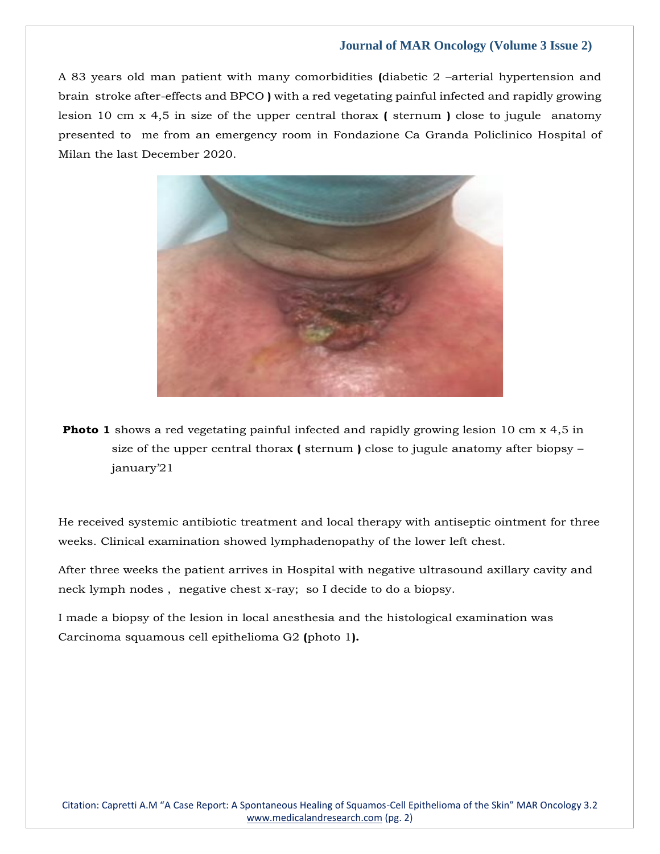A 83 years old man patient with many comorbidities **(**diabetic 2 –arterial hypertension and brain stroke after-effects and BPCO **)** with a red vegetating painful infected and rapidly growing lesion 10 cm x 4,5 in size of the upper central thorax **(** sternum **)** close to jugule anatomy presented to me from an emergency room in Fondazione Ca Granda Policlinico Hospital of Milan the last December 2020.



**Photo 1** shows a red vegetating painful infected and rapidly growing lesion 10 cm x 4,5 in size of the upper central thorax **(** sternum **)** close to jugule anatomy after biopsy – january'21

He received systemic antibiotic treatment and local therapy with antiseptic ointment for three weeks. Clinical examination showed lymphadenopathy of the lower left chest.

After three weeks the patient arrives in Hospital with negative ultrasound axillary cavity and neck lymph nodes , negative chest x-ray; so I decide to do a biopsy.

I made a biopsy of the lesion in local anesthesia and the histological examination was Carcinoma squamous cell epithelioma G2 **(**photo 1**).**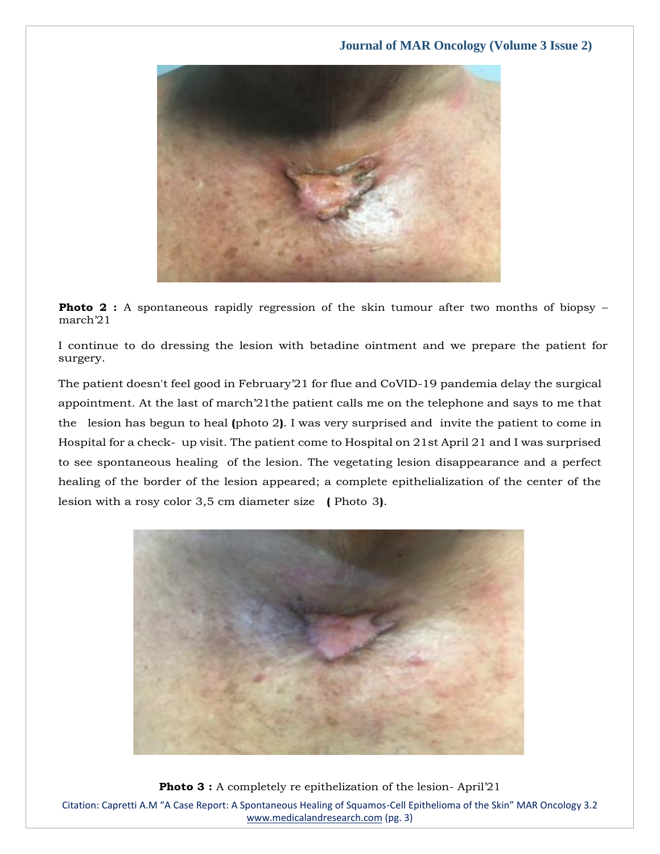

**Photo 2 :** A spontaneous rapidly regression of the skin tumour after two months of biopsy – march'21

I continue to do dressing the lesion with betadine ointment and we prepare the patient for surgery.

The patient doesn't feel good in February'21 for flue and CoVID-19 pandemia delay the surgical appointment. At the last of march'21the patient calls me on the telephone and says to me that the lesion has begun to heal **(**photo 2**)**. I was very surprised and invite the patient to come in Hospital for a check- up visit. The patient come to Hospital on 21st April 21 and I was surprised to see spontaneous healing of the lesion. The vegetating lesion disappearance and a perfect healing of the border of the lesion appeared; a complete epithelialization of the center of the lesion with a rosy color 3,5 cm diameter size **(** Photo 3**)**.



Citation: Capretti A.M "A Case Report: A Spontaneous Healing of Squamos-Cell Epithelioma of the Skin" MAR Oncology 3.2 [www.medicalandresearch.com](http://www.medicalandresearch.com/) (pg. 3) **Photo 3 :** A completely re epithelization of the lesion-April'21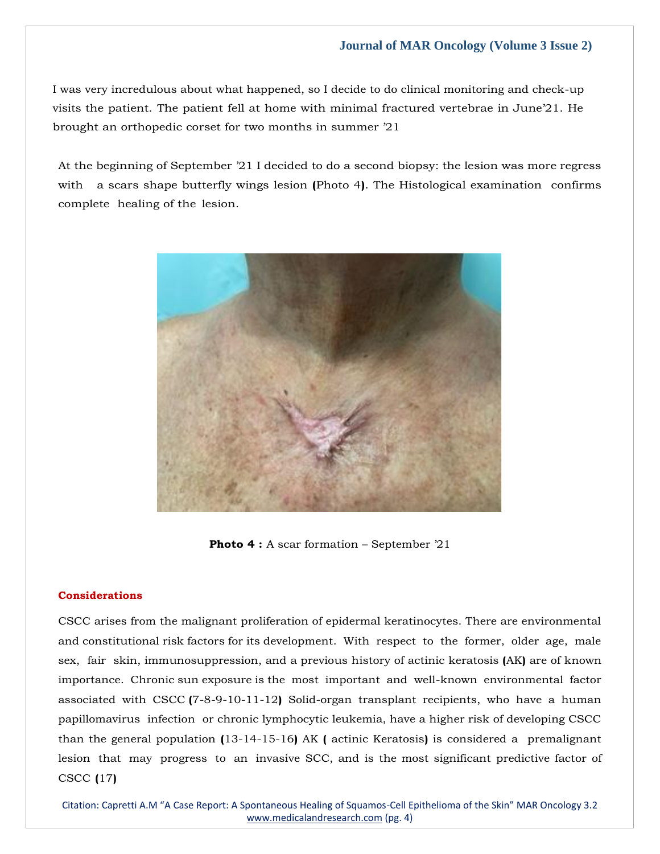I was very incredulous about what happened, so I decide to do clinical monitoring and check-up visits the patient. The patient fell at home with minimal fractured vertebrae in June'21. He brought an orthopedic corset for two months in summer '21

At the beginning of September '21 I decided to do a second biopsy: the lesion was more regress with a scars shape butterfly wings lesion **(**Photo 4**)**. The Histological examination confirms complete healing of the lesion.



Photo 4 : A scar formation – September '21

#### **Considerations**

CSCC arises from the malignant proliferation of epidermal keratinocytes. There are environmental and constitutional risk factors for its development. With respect to the former, older age, male sex, fair skin, immunosuppression, and a previous history of actinic keratosis **(**AK**)** are of known importance. Chronic sun exposure is the most important and well-known environmental factor associated with CSCC **(**7-8-9-10-11-12**)** Solid-organ transplant recipients, who have a human papillomavirus infection or chronic lymphocytic leukemia, have a higher risk of developing CSCC than the general population **(**13-14-15-16**)** AK **(** actinic Keratosis**)** is considered a premalignant lesion that may progress to an invasive SCC, and is the most significant predictive factor of CSCC **(**17**)**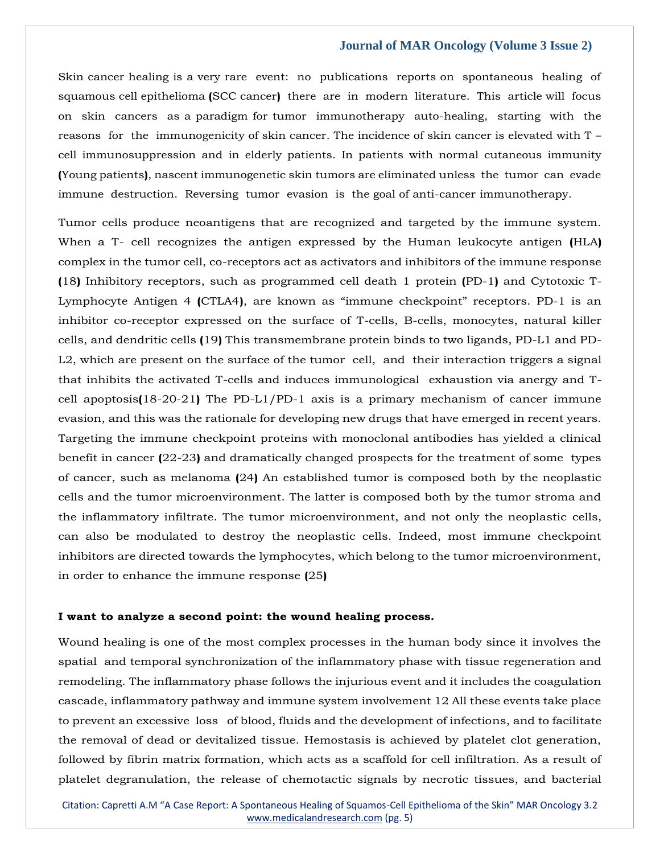Skin cancer healing is a very rare event: no publications reports on spontaneous healing of squamous cell epithelioma **(**SCC cancer**)** there are in modern literature. This article will focus on skin cancers as a paradigm for tumor immunotherapy auto-healing, starting with the reasons for the immunogenicity of skin cancer. The incidence of skin cancer is elevated with T – cell immunosuppression and in elderly patients. In patients with normal cutaneous immunity **(**Young patients**)**, nascent immunogenetic skin tumors are eliminated unless the tumor can evade immune destruction. Reversing tumor evasion is the goal of anti-cancer immunotherapy.

Tumor cells produce neoantigens that are recognized and targeted by the immune system. When a T- cell recognizes the antigen expressed by the Human leukocyte antigen **(**HLA**)** complex in the tumor cell, co-receptors act as activators and inhibitors of the immune response **(**18**)** Inhibitory receptors, such as programmed cell death 1 protein **(**PD-1**)** and Cytotoxic T-Lymphocyte Antigen 4 **(**CTLA4**)**, are known as "immune checkpoint" receptors. PD-1 is an inhibitor co-receptor expressed on the surface of T-cells, B-cells, monocytes, natural killer cells, and dendritic cells **(**19**)** This transmembrane protein binds to two ligands, PD-L1 and PD-L2, which are present on the surface of the tumor cell, and their interaction triggers a signal that inhibits the activated T-cells and induces immunological exhaustion via anergy and Tcell apoptosis**(**18-20-21**)** The PD-L1/PD-1 axis is a primary mechanism of cancer immune evasion, and this was the rationale for developing new drugs that have emerged in recent years. Targeting the immune checkpoint proteins with monoclonal antibodies has yielded a clinical benefit in cancer **(**22-23**)** and dramatically changed prospects for the treatment of some types of cancer, such as melanoma **(**24**)** An established tumor is composed both by the neoplastic cells and the tumor microenvironment. The latter is composed both by the tumor stroma and the inflammatory infiltrate. The tumor microenvironment, and not only the neoplastic cells, can also be modulated to destroy the neoplastic cells. Indeed, most immune checkpoint inhibitors are directed towards the lymphocytes, which belong to the tumor microenvironment, in order to enhance the immune response **(**25**)**

#### **I want to analyze a second point: the wound healing process.**

Wound healing is one of the most complex processes in the human body since it involves the spatial and temporal synchronization of the inflammatory phase with tissue regeneration and remodeling. The inflammatory phase follows the injurious event and it includes the coagulation cascade, inflammatory pathway and immune system involvement 12 All these events take place to prevent an excessive loss of blood, fluids and the development of infections, and to facilitate the removal of dead or devitalized tissue. Hemostasis is achieved by platelet clot generation, followed by fibrin matrix formation, which acts as a scaffold for cell infiltration. As a result of platelet degranulation, the release of chemotactic signals by necrotic tissues, and bacterial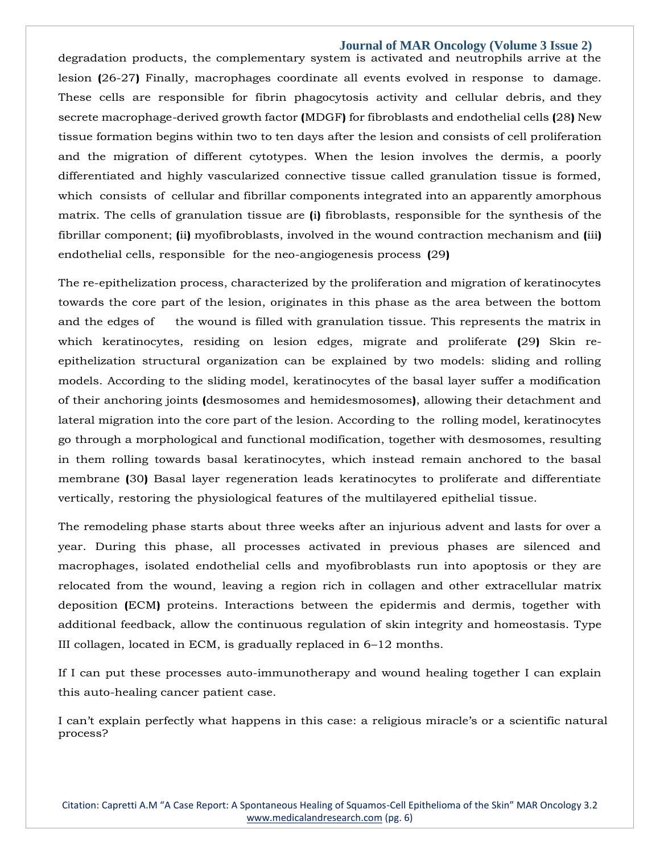degradation products, the complementary system is activated and neutrophils arrive at the lesion **(**26-27**)** Finally, macrophages coordinate all events evolved in response to damage. These cells are responsible for fibrin phagocytosis activity and cellular debris, and they secrete macrophage-derived growth factor **(**MDGF**)** for fibroblasts and endothelial cells **(**28**)** New tissue formation begins within two to ten days after the lesion and consists of cell proliferation and the migration of different cytotypes. When the lesion involves the dermis, a poorly differentiated and highly vascularized connective tissue called granulation tissue is formed, which consists of cellular and fibrillar components integrated into an apparently amorphous matrix. The cells of granulation tissue are **(**i**)** fibroblasts, responsible for the synthesis of the fibrillar component; **(**ii**)** myofibroblasts, involved in the wound contraction mechanism and **(**iii**)** endothelial cells, responsible for the neo-angiogenesis process **(**29**)**

The re-epithelization process, characterized by the proliferation and migration of keratinocytes towards the core part of the lesion, originates in this phase as the area between the bottom and the edges of the wound is filled with granulation tissue. This represents the matrix in which keratinocytes, residing on lesion edges, migrate and proliferate **(**29**)** Skin reepithelization structural organization can be explained by two models: sliding and rolling models. According to the sliding model, keratinocytes of the basal layer suffer a modification of their anchoring joints **(**desmosomes and hemidesmosomes**)**, allowing their detachment and lateral migration into the core part of the lesion. According to the rolling model, keratinocytes go through a morphological and functional modification, together with desmosomes, resulting in them rolling towards basal keratinocytes, which instead remain anchored to the basal membrane **(**30**)** Basal layer regeneration leads keratinocytes to proliferate and differentiate vertically, restoring the physiological features of the multilayered epithelial tissue.

The remodeling phase starts about three weeks after an injurious advent and lasts for over a year. During this phase, all processes activated in previous phases are silenced and macrophages, isolated endothelial cells and myofibroblasts run into apoptosis or they are relocated from the wound, leaving a region rich in collagen and other extracellular matrix deposition **(**ECM**)** proteins. Interactions between the epidermis and dermis, together with additional feedback, allow the continuous regulation of skin integrity and homeostasis. Type III collagen, located in ECM, is gradually replaced in 6–12 months.

If I can put these processes auto-immunotherapy and wound healing together I can explain this auto-healing cancer patient case.

I can't explain perfectly what happens in this case: a religious miracle's or a scientific natural process?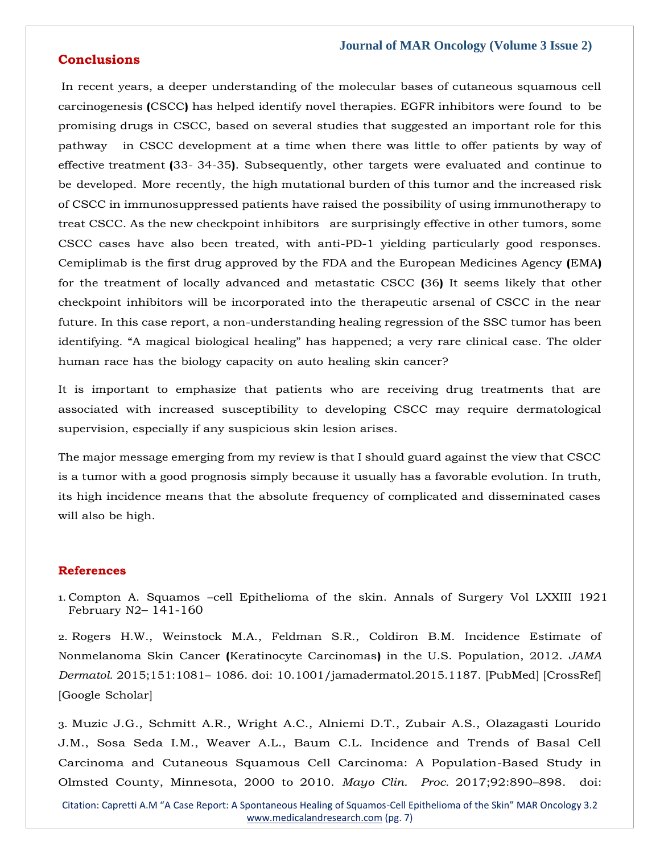## **Conclusions**

In recent years, a deeper understanding of the molecular bases of cutaneous squamous cell carcinogenesis **(**CSCC**)** has helped identify novel therapies. EGFR inhibitors were found to be promising drugs in CSCC, based on several studies that suggested an important role for this pathway in CSCC development at a time when there was little to offer patients by way of effective treatment **(**33- 34-35**)**. Subsequently, other targets were evaluated and continue to be developed. More recently, the high mutational burden of this tumor and the increased risk of CSCC in immunosuppressed patients have raised the possibility of using immunotherapy to treat CSCC. As the new checkpoint inhibitors are surprisingly effective in other tumors, some CSCC cases have also been treated, with anti-PD-1 yielding particularly good responses. Cemiplimab is the first drug approved by the FDA and the European Medicines Agency **(**EMA**)** for the treatment of locally advanced and metastatic CSCC **(**36**)** It seems likely that other checkpoint inhibitors will be incorporated into the therapeutic arsenal of CSCC in the near future. In this case report, a non-understanding healing regression of the SSC tumor has been identifying. "A magical biological healing" has happened; a very rare clinical case. The older human race has the biology capacity on auto healing skin cancer?

It is important to emphasize that patients who are receiving drug treatments that are associated with increased susceptibility to developing CSCC may require dermatological supervision, especially if any suspicious skin lesion arises.

The major message emerging from my review is that I should guard against the view that CSCC is a tumor with a good prognosis simply because it usually has a favorable evolution. In truth, its high incidence means that the absolute frequency of complicated and disseminated cases will also be high.

## **References**

1. Compton A. Squamos –cell Epithelioma of the skin. Annals of Surgery Vol LXXIII 1921 February N2– 141-160

2. Rogers H.W., Weinstock M.A., Feldman S.R., Coldiron B.M. Incidence Estimate of Nonmelanoma Skin Cancer **(**Keratinocyte Carcinomas**)** in the U.S. Population, 2012. *JAMA Dermatol.* 2015;151:1081– 1086. doi: 10.1001/jamadermatol.2015.1187. [\[PubMed\]](https://www.ncbi.nlm.nih.gov/pubmed/25928283) [\[CrossRef\]](https://dx.doi.org/10.1001%2Fjamadermatol.2015.1187)  [Google Scholar]

3. Muzic J.G., Schmitt A.R., Wright A.C., Alniemi D.T., Zubair A.S., Olazagasti Lourido J.M., Sosa Seda I.M., Weaver A.L., Baum C.L. Incidence and Trends of Basal Cell Carcinoma and Cutaneous Squamous Cell Carcinoma: A Population-Based Study in Olmsted County, Minnesota, 2000 to 2010. *Mayo Clin. Proc.* 2017;92:890–898. doi: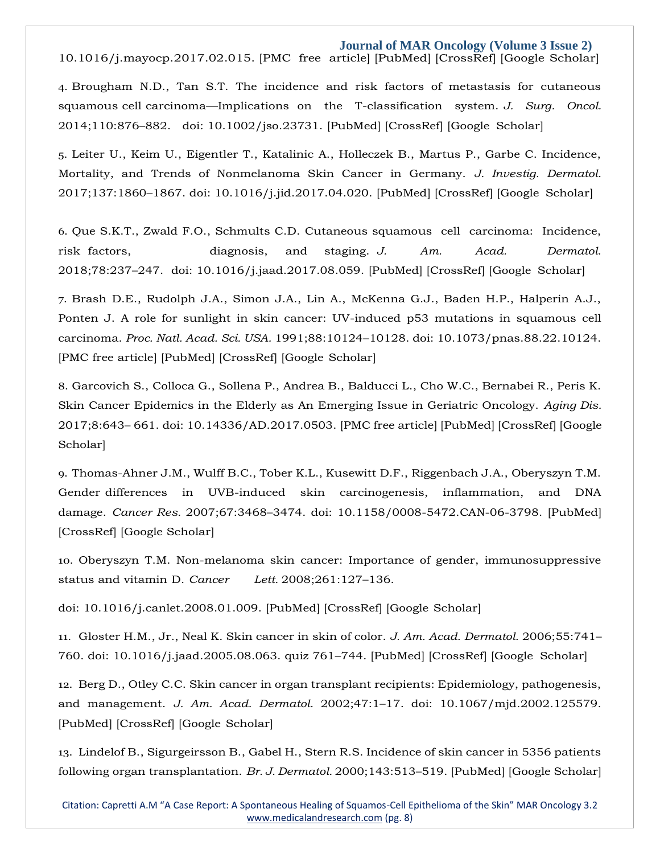10.1016/j.mayocp.2017.02.015. [\[PMC free](https://www.ncbi.nlm.nih.gov/pmc/articles/PMC5535132/) [article\]](https://www.ncbi.nlm.nih.gov/pmc/articles/PMC5535132/) [\[PubMed\]](https://www.ncbi.nlm.nih.gov/pubmed/28522111) [\[CrossRef\]](https://dx.doi.org/10.1016%2Fj.mayocp.2017.02.015) [Google Scholar]

4. Brougham N.D., Tan S.T. The incidence and risk factors of metastasis for cutaneous squamous cell carcinoma—Implications on the T-classification system. *J. Surg. Oncol.*  2014;110:876–882. doi: 10.1002/jso.23731. [\[PubMed\]](https://www.ncbi.nlm.nih.gov/pubmed/25088537) [\[CrossRef\] \[](https://dx.doi.org/10.1002%2Fjso.23731)Google Scholar]

5. Leiter U., Keim U., Eigentler T., Katalinic A., Holleczek B., Martus P., Garbe C. Incidence, Mortality, and Trends of Nonmelanoma Skin Cancer in Germany. *J. Investig. Dermatol.*  2017;137:1860–1867. doi: 10.1016/j.jid.2017.04.020. [\[PubMed\]](https://www.ncbi.nlm.nih.gov/pubmed/28487088) [\[CrossRef\]](https://dx.doi.org/10.1016%2Fj.jid.2017.04.020) [Google Scholar]

6. Que S.K.T., Zwald F.O., Schmults C.D. Cutaneous squamous cell carcinoma: Incidence, risk factors, diagnosis, and staging. *J. Am. Acad. Dermatol.*  2018;78:237–247. doi: 10.1016/j.jaad.2017.08.059. [\[PubMed\]](https://www.ncbi.nlm.nih.gov/pubmed/29332704) [\[CrossRef\]](https://dx.doi.org/10.1016%2Fj.jaad.2017.08.059) [Google Scholar]

7. Brash D.E., Rudolph J.A., Simon J.A., Lin A., McKenna G.J., Baden H.P., Halperin A.J., Ponten J. A role for sunlight in skin cancer: UV-induced p53 mutations in squamous cell carcinoma. *Proc. Natl. Acad. Sci. USA.* 1991;88:10124–10128. doi: 10.1073/pnas.88.22.10124. [\[PMC free article\]](https://www.ncbi.nlm.nih.gov/pmc/articles/PMC52880/) [\[PubMed\]](https://www.ncbi.nlm.nih.gov/pubmed/1946433) [\[CrossRef\] \[](https://dx.doi.org/10.1073%2Fpnas.88.22.10124)Google Scholar]

8. Garcovich S., Colloca G., Sollena P., Andrea B., Balducci L., Cho W.C., Bernabei R., Peris K. Skin Cancer Epidemics in the Elderly as An Emerging Issue in Geriatric Oncology. *Aging Dis.*  2017;8:643– 661. doi: 10.14336/AD.2017.0503. [\[PMC free article\]](https://www.ncbi.nlm.nih.gov/pmc/articles/PMC5614327/) [\[PubMed\]](https://www.ncbi.nlm.nih.gov/pubmed/28966807) [\[CrossRef\]](https://dx.doi.org/10.14336%2FAD.2017.0503) [Google Scholar]

9. Thomas-Ahner J.M., Wulff B.C., Tober K.L., Kusewitt D.F., Riggenbach J.A., Oberyszyn T.M. Gender differences in UVB-induced skin carcinogenesis, inflammation, and DNA damage. *Cancer Res.* 2007;67:3468–3474. doi: 10.1158/0008-5472.CAN-06-3798. [\[PubMed\]](https://www.ncbi.nlm.nih.gov/pubmed/17389759) [\[CrossRef\]](https://dx.doi.org/10.1158%2F0008-5472.CAN-06-3798) [Google Scholar]

10. Oberyszyn T.M. Non-melanoma skin cancer: Importance of gender, immunosuppressive status and vitamin D. *Cancer Lett.* 2008;261:127–136.

doi: 10.1016/j.canlet.2008.01.009. [\[PubMed\]](https://www.ncbi.nlm.nih.gov/pubmed/18267352) [\[CrossRef\] \[](https://dx.doi.org/10.1016%2Fj.canlet.2008.01.009)Google Scholar]

11. Gloster H.M., Jr., Neal K. Skin cancer in skin of color. *J. Am. Acad. Dermatol.* 2006;55:741– 760. doi: 10.1016/j.jaad.2005.08.063. quiz 761–744. [\[PubMed\]](https://www.ncbi.nlm.nih.gov/pubmed/17052479) [\[CrossRef\]](https://dx.doi.org/10.1016%2Fj.jaad.2005.08.063) [Google Scholar]

12. Berg D., Otley C.C. Skin cancer in organ transplant recipients: Epidemiology, pathogenesis, and management. *J. Am. Acad. Dermatol.* 2002;47:1–17. doi: 10.1067/mjd.2002.125579. [\[PubMed\]](https://www.ncbi.nlm.nih.gov/pubmed/12077575) [\[CrossRef\] \[](https://dx.doi.org/10.1067%2Fmjd.2002.125579)Google Scholar]

13. Lindelof B., Sigurgeirsson B., Gabel H., Stern R.S. Incidence of skin cancer in 5356 patients following organ transplantation. *Br. J. Dermatol.* 2000;143:513–519. [\[PubMed\]](https://www.ncbi.nlm.nih.gov/pubmed/10971322) [Google [Scholar\]](https://scholar.google.com/scholar_lookup?journal=Br.%2BJ.%2BDermatol.&title=Incidence%2Bof%2Bskin%2Bcancer%2Bin%2B5356%2Bpatients%2Bfollowing%2Borgan%2Btransplantation&author=B.%2BLindelof&author=B.%2BSigurgeirsson&author=H.%2BGabel&author=R.S.%2BStern&volume=143&publication_year=2000&pages=513-519&pmid=10971322)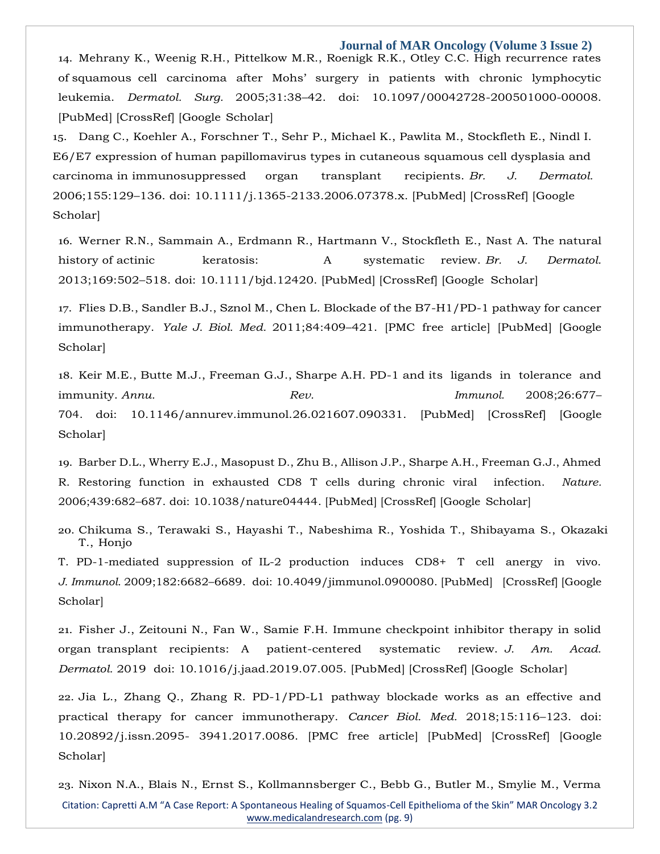14. Mehrany K., Weenig R.H., Pittelkow M.R., Roenigk R.K., Otley C.C. High recurrence rates of squamous cell carcinoma after Mohs' surgery in patients with chronic lymphocytic leukemia. *Dermatol. Surg.* 2005;31:38–42. doi: 10.1097/00042728-200501000-00008. [\[PubMed\]](https://www.ncbi.nlm.nih.gov/pubmed/15720094) [\[CrossRef\] \[](https://dx.doi.org/10.1097%2F00042728-200501000-00008)Google Scholar]

15. Dang C., Koehler A., Forschner T., Sehr P., Michael K., Pawlita M., Stockfleth E., Nindl I. E6/E7 expression of human papillomavirus types in cutaneous squamous cell dysplasia and carcinoma in immunosuppressed organ transplant recipients. *Br. J. Dermatol.*  2006;155:129–136. doi: 10.1111/j.1365-2133.2006.07378.x. [\[PubMed\]](https://www.ncbi.nlm.nih.gov/pubmed/16792764) [\[CrossRef\]](https://dx.doi.org/10.1111%2Fj.1365-2133.2006.07378.x) [Google Scholar]

16. Werner R.N., Sammain A., Erdmann R., Hartmann V., Stockfleth E., Nast A. The natural history of actinic keratosis: A systematic review. *Br. J. Dermatol.*  2013;169:502–518. doi: 10.1111/bjd.12420. [\[PubMed\]](https://www.ncbi.nlm.nih.gov/pubmed/23647091) [\[CrossRef\] \[](https://dx.doi.org/10.1111%2Fbjd.12420)Google Scholar]

17. Flies D.B., Sandler B.J., Sznol M., Chen L. Blockade of the B7-H1/PD-1 pathway for cancer immunotherapy. *Yale J. Biol. Med.* 2011;84:409–421. [PMC free [article\]](https://www.ncbi.nlm.nih.gov/pmc/articles/PMC3238327/) [\[PubMed\]](https://www.ncbi.nlm.nih.gov/pubmed/22180678) [Google Scholar]

18. Keir M.E., Butte M.J., Freeman G.J., Sharpe A.H. PD-1 and its ligands in tolerance and immunity. *Annu. Rev. Immunol.* 2008;26:677– 704. doi: 10.1146/annurev.immunol.26.021607.090331. [\[PubMed\]](https://www.ncbi.nlm.nih.gov/pubmed/18173375) [\[CrossRef\] \[](https://dx.doi.org/10.1146%2Fannurev.immunol.26.021607.090331)Google Scholar]

19. Barber D.L., Wherry E.J., Masopust D., Zhu B., Allison J.P., Sharpe A.H., Freeman G.J., Ahmed R. Restoring function in exhausted CD8 T cells during chronic viral infection. *Nature.*  2006;439:682–687. doi: 10.1038/nature04444. [\[PubMed\]](https://www.ncbi.nlm.nih.gov/pubmed/16382236) [\[CrossRef\] \[](https://dx.doi.org/10.1038%2Fnature04444)Google Scholar]

20. Chikuma S., Terawaki S., Hayashi T., Nabeshima R., Yoshida T., Shibayama S., Okazaki T., Honjo

T. PD-1-mediated suppression of IL-2 production induces CD8+ T cell anergy in vivo. *J. Immunol.* 2009;182:6682–6689. doi: 10.4049/jimmunol.0900080. [\[PubMed\]](https://www.ncbi.nlm.nih.gov/pubmed/19454662) [\[CrossRef\]](https://dx.doi.org/10.4049%2Fjimmunol.0900080) [Google Scholar]

21. Fisher J., Zeitouni N., Fan W., Samie F.H. Immune checkpoint inhibitor therapy in solid organ transplant recipients: A patient-centered systematic review. *J. Am. Acad. Dermatol.* 2019 doi: 10.1016/j.jaad.2019.07.005. [\[PubMed\]](https://www.ncbi.nlm.nih.gov/pubmed/31302190) [\[CrossRef\]](https://dx.doi.org/10.1016%2Fj.jaad.2019.07.005) [Google Scholar]

22. Jia L., Zhang Q., Zhang R. PD-1/PD-L1 pathway blockade works as an effective and practical therapy for cancer immunotherapy. *Cancer Biol. Med.* 2018;15:116–123. doi: 10.20892/j.issn.2095- 3941.2017.0086. [\[PMC free article\]](https://www.ncbi.nlm.nih.gov/pmc/articles/PMC5994550/) [\[PubMed\]](https://www.ncbi.nlm.nih.gov/pubmed/29951336) [\[CrossRef\]](https://dx.doi.org/10.20892%2Fj.issn.2095-3941.2017.0086) [Google Scholar]

Citation: Capretti A.M "A Case Report: A Spontaneous Healing of Squamos-Cell Epithelioma of the Skin" MAR Oncology 3.2 [www.medicalandresearch.com](http://www.medicalandresearch.com/) (pg. 9) 23. Nixon N.A., Blais N., Ernst S., Kollmannsberger C., Bebb G., Butler M., Smylie M., Verma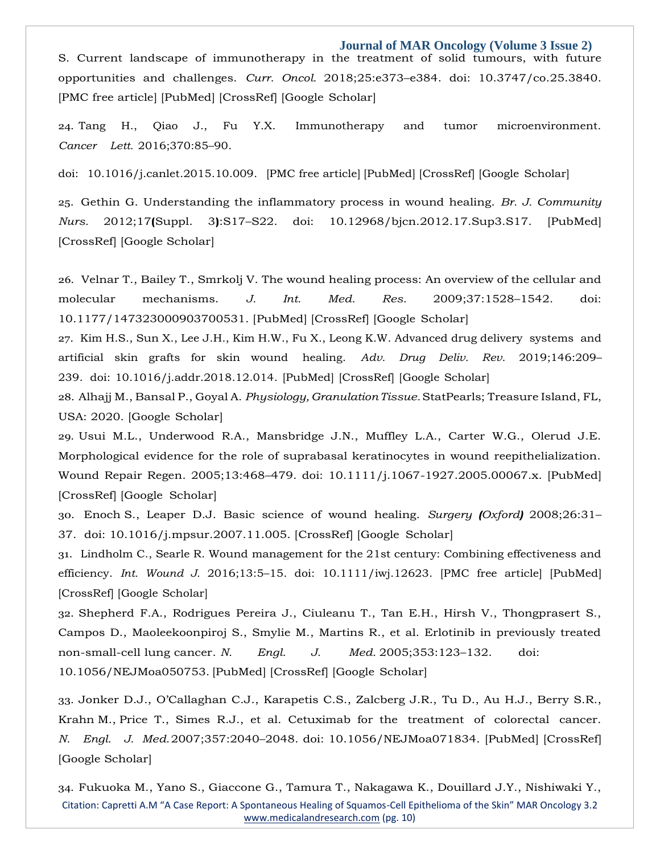**Journal of MAR Oncology (Volume 3 Issue 2)** S. Current landscape of immunotherapy in the treatment of solid tumours, with future opportunities and challenges. *Curr. Oncol.* 2018;25:e373–e384. doi: 10.3747/co.25.3840. [\[PMC free article\]](https://www.ncbi.nlm.nih.gov/pmc/articles/PMC6209564/) [\[PubMed\]](https://www.ncbi.nlm.nih.gov/pubmed/30464687) [\[CrossRef\] \[](https://dx.doi.org/10.3747%2Fco.25.3840)Google Scholar]

24. Tang H., Qiao J., Fu Y.X. Immunotherapy and tumor microenvironment. *Cancer Lett.* 2016;370:85–90.

doi: 10.1016/j.canlet.2015.10.009. [\[PMC free](https://www.ncbi.nlm.nih.gov/pmc/articles/PMC4725050/) article] [\[PubMed\]](https://www.ncbi.nlm.nih.gov/pubmed/26477683) [\[CrossRef\] \[](https://dx.doi.org/10.1016%2Fj.canlet.2015.10.009)Google Scholar]

25. Gethin G. Understanding the inflammatory process in wound healing. *Br. J. Community Nurs.* 2012;17**(**Suppl. 3**)**:S17–S22. doi: 10.12968/bjcn.2012.17.Sup3.S17. [\[PubMed\]](https://www.ncbi.nlm.nih.gov/pubmed/22584180) [\[CrossRef\]](https://dx.doi.org/10.12968%2Fbjcn.2012.17.Sup3.S17) [Google Scholar]

26. Velnar T., Bailey T., Smrkolj V. The wound healing process: An overview of the cellular and molecular mechanisms. *J. Int. Med. Res.* 2009;37:1528–1542. doi: 10.1177/147323000903700531. [\[PubMed\] \[](https://www.ncbi.nlm.nih.gov/pubmed/19930861)[CrossRef\] \[](https://dx.doi.org/10.1177%2F147323000903700531)Google Scholar]

27. Kim H.S., Sun X., Lee J.H., Kim H.W., Fu X., Leong K.W. Advanced drug delivery systems and artificial skin grafts for skin wound healing. *Adv. Drug Deliv. Rev.* 2019;146:209– 239. doi: 10.1016/j.addr.2018.12.014. [\[PubMed\]](https://www.ncbi.nlm.nih.gov/pubmed/30605737) [\[CrossRef\]](https://dx.doi.org/10.1016%2Fj.addr.2018.12.014) [Google Scholar]

28. Alhajj M., Bansal P., Goyal A. *Physiology,GranulationTissue.*StatPearls; Treasure Island, FL, USA: 2020. [Google [Scholar\]](https://scholar.google.com/scholar_lookup?title=Physiology%2C%2BGranulation%2BTissue&author=M.%2BAlhajj&author=P.%2BBansal&author=A.%2BGoyal&publication_year=2020)

29. Usui M.L., Underwood R.A., Mansbridge J.N., Muffley L.A., Carter W.G., Olerud J.E. Morphological evidence for the role of suprabasal keratinocytes in wound reepithelialization. Wound Repair Regen. 2005;13:468–479. doi: 10.1111/j.1067-1927.2005.00067.x. [\[PubMed\]](https://www.ncbi.nlm.nih.gov/pubmed/16176455) [\[CrossRef\]](https://dx.doi.org/10.1111%2Fj.1067-1927.2005.00067.x) [Google Scholar]

30. Enoch S., Leaper D.J. Basic science of wound healing. *Surgery (Oxford)* 2008;26:31– 37. doi: 10.1016/j.mpsur.2007.11.005. [\[CrossRef\]](https://dx.doi.org/10.1016%2Fj.mpsur.2007.11.005) [Google Scholar]

31. Lindholm C., Searle R. Wound management for the 21st century: Combining effectiveness and efficiency. *Int. Wound J.* 2016;13:5–15. doi: 10.1111/iwj.12623. [\[PMC free article\]](https://www.ncbi.nlm.nih.gov/pmc/articles/PMC7949725/) [\[PubMed\]](https://www.ncbi.nlm.nih.gov/pubmed/27460943) [\[CrossRef\]](https://dx.doi.org/10.1111%2Fiwj.12623) [Google Scholar]

32. Shepherd F.A., Rodrigues Pereira J., Ciuleanu T., Tan E.H., Hirsh V., Thongprasert S., Campos D., Maoleekoonpiroj S., Smylie M., Martins R., et al. Erlotinib in previously treated non-small-cell lung cancer. *N. Engl. J. Med.* 2005;353:123–132. doi: 10.1056/NEJMoa050753. [\[PubMed\]](https://www.ncbi.nlm.nih.gov/pubmed/16014882) [\[CrossRef\] \[](https://dx.doi.org/10.1056%2FNEJMoa050753)Google Scholar]

33. Jonker D.J., O'Callaghan C.J., Karapetis C.S., Zalcberg J.R., Tu D., Au H.J., Berry S.R., Krahn M., Price T., Simes R.J., et al. Cetuximab for the treatment of colorectal cancer. *N. Engl. J. Med.*2007;357:2040–2048. doi: 10.1056/NEJMoa071834. [\[PubMed\]](https://www.ncbi.nlm.nih.gov/pubmed/18003960) [\[CrossRef\]](https://dx.doi.org/10.1056%2FNEJMoa071834) [Google Scholar]

Citation: Capretti A.M "A Case Report: A Spontaneous Healing of Squamos-Cell Epithelioma of the Skin" MAR Oncology 3.2 [www.medicalandresearch.com](http://www.medicalandresearch.com/) (pg. 10) 34. Fukuoka M., Yano S., Giaccone G., Tamura T., Nakagawa K., Douillard J.Y., Nishiwaki Y.,